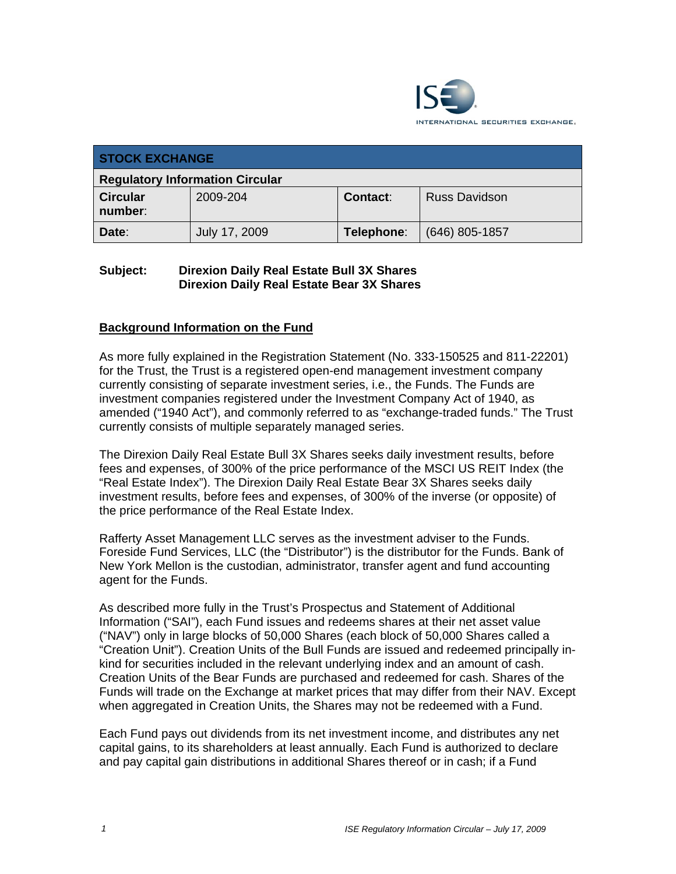

| <b>STOCK EXCHANGE</b>                  |               |            |                      |  |  |
|----------------------------------------|---------------|------------|----------------------|--|--|
| <b>Regulatory Information Circular</b> |               |            |                      |  |  |
| <b>Circular</b><br>number:             | 2009-204      | Contact:   | <b>Russ Davidson</b> |  |  |
| Date:                                  | July 17, 2009 | Telephone: | $(646)$ 805-1857     |  |  |

### **Subject: Direxion Daily Real Estate Bull 3X Shares Direxion Daily Real Estate Bear 3X Shares**

# **Background Information on the Fund**

As more fully explained in the Registration Statement (No. 333-150525 and 811-22201) for the Trust, the Trust is a registered open-end management investment company currently consisting of separate investment series, i.e., the Funds. The Funds are investment companies registered under the Investment Company Act of 1940, as amended ("1940 Act"), and commonly referred to as "exchange-traded funds." The Trust currently consists of multiple separately managed series.

The Direxion Daily Real Estate Bull 3X Shares seeks daily investment results, before fees and expenses, of 300% of the price performance of the MSCI US REIT Index (the "Real Estate Index"). The Direxion Daily Real Estate Bear 3X Shares seeks daily investment results, before fees and expenses, of 300% of the inverse (or opposite) of the price performance of the Real Estate Index.

Rafferty Asset Management LLC serves as the investment adviser to the Funds. Foreside Fund Services, LLC (the "Distributor") is the distributor for the Funds. Bank of New York Mellon is the custodian, administrator, transfer agent and fund accounting agent for the Funds.

As described more fully in the Trust's Prospectus and Statement of Additional Information ("SAI"), each Fund issues and redeems shares at their net asset value ("NAV") only in large blocks of 50,000 Shares (each block of 50,000 Shares called a "Creation Unit"). Creation Units of the Bull Funds are issued and redeemed principally inkind for securities included in the relevant underlying index and an amount of cash. Creation Units of the Bear Funds are purchased and redeemed for cash. Shares of the Funds will trade on the Exchange at market prices that may differ from their NAV. Except when aggregated in Creation Units, the Shares may not be redeemed with a Fund.

Each Fund pays out dividends from its net investment income, and distributes any net capital gains, to its shareholders at least annually. Each Fund is authorized to declare and pay capital gain distributions in additional Shares thereof or in cash; if a Fund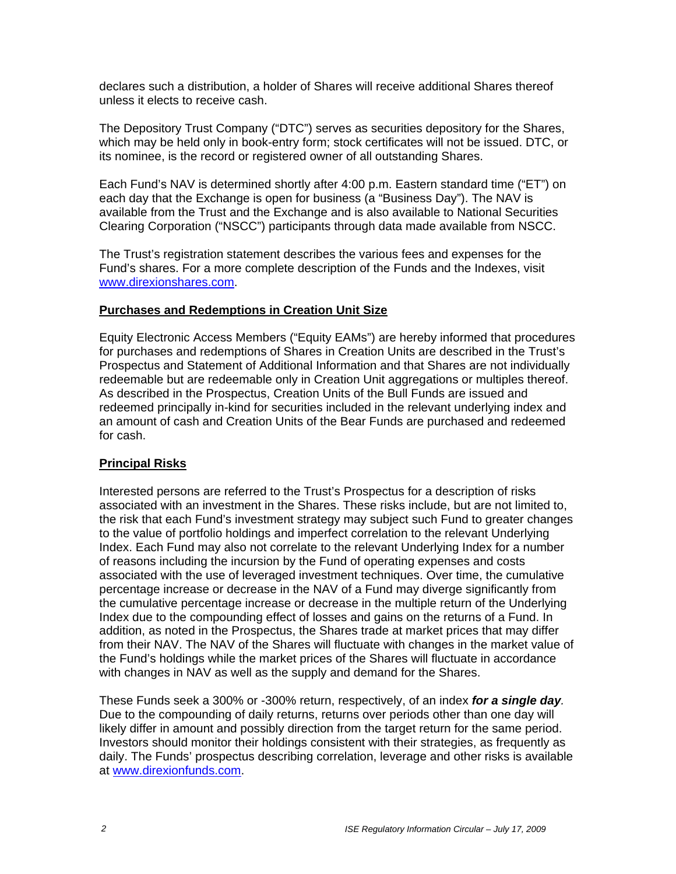declares such a distribution, a holder of Shares will receive additional Shares thereof unless it elects to receive cash.

The Depository Trust Company ("DTC") serves as securities depository for the Shares, which may be held only in book-entry form; stock certificates will not be issued. DTC, or its nominee, is the record or registered owner of all outstanding Shares.

Each Fund's NAV is determined shortly after 4:00 p.m. Eastern standard time ("ET") on each day that the Exchange is open for business (a "Business Day"). The NAV is available from the Trust and the Exchange and is also available to National Securities Clearing Corporation ("NSCC") participants through data made available from NSCC.

The Trust's registration statement describes the various fees and expenses for the Fund's shares. For a more complete description of the Funds and the Indexes, visit www.direxionshares.com.

#### **Purchases and Redemptions in Creation Unit Size**

Equity Electronic Access Members ("Equity EAMs") are hereby informed that procedures for purchases and redemptions of Shares in Creation Units are described in the Trust's Prospectus and Statement of Additional Information and that Shares are not individually redeemable but are redeemable only in Creation Unit aggregations or multiples thereof. As described in the Prospectus, Creation Units of the Bull Funds are issued and redeemed principally in-kind for securities included in the relevant underlying index and an amount of cash and Creation Units of the Bear Funds are purchased and redeemed for cash.

### **Principal Risks**

Interested persons are referred to the Trust's Prospectus for a description of risks associated with an investment in the Shares. These risks include, but are not limited to, the risk that each Fund's investment strategy may subject such Fund to greater changes to the value of portfolio holdings and imperfect correlation to the relevant Underlying Index. Each Fund may also not correlate to the relevant Underlying Index for a number of reasons including the incursion by the Fund of operating expenses and costs associated with the use of leveraged investment techniques. Over time, the cumulative percentage increase or decrease in the NAV of a Fund may diverge significantly from the cumulative percentage increase or decrease in the multiple return of the Underlying Index due to the compounding effect of losses and gains on the returns of a Fund. In addition, as noted in the Prospectus, the Shares trade at market prices that may differ from their NAV. The NAV of the Shares will fluctuate with changes in the market value of the Fund's holdings while the market prices of the Shares will fluctuate in accordance with changes in NAV as well as the supply and demand for the Shares.

These Funds seek a 300% or -300% return, respectively, of an index *for a single day.*  Due to the compounding of daily returns, returns over periods other than one day will likely differ in amount and possibly direction from the target return for the same period. Investors should monitor their holdings consistent with their strategies, as frequently as daily. The Funds' prospectus describing correlation, leverage and other risks is available at www.direxionfunds.com.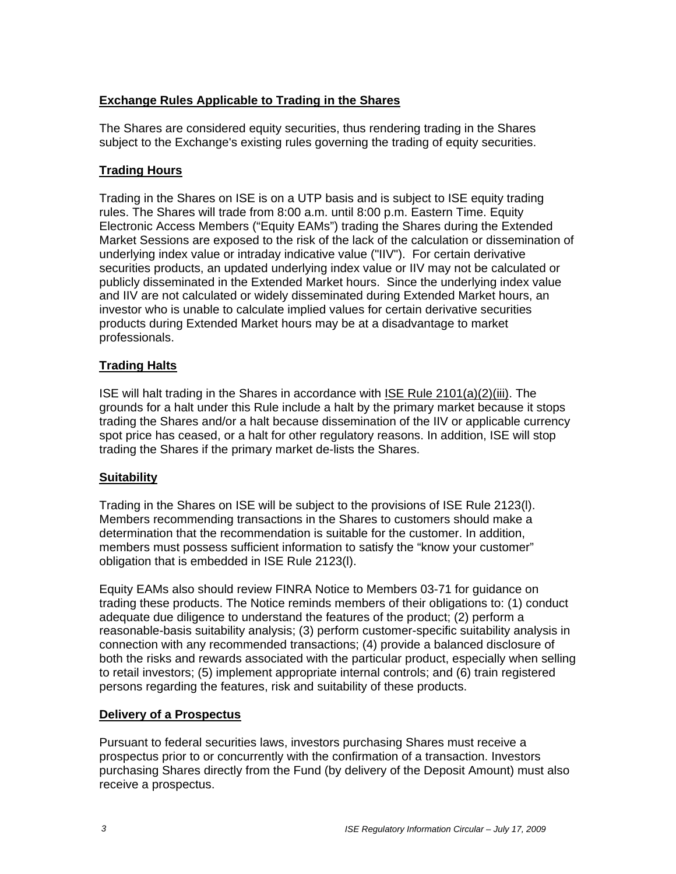# **Exchange Rules Applicable to Trading in the Shares**

The Shares are considered equity securities, thus rendering trading in the Shares subject to the Exchange's existing rules governing the trading of equity securities.

# **Trading Hours**

Trading in the Shares on ISE is on a UTP basis and is subject to ISE equity trading rules. The Shares will trade from 8:00 a.m. until 8:00 p.m. Eastern Time. Equity Electronic Access Members ("Equity EAMs") trading the Shares during the Extended Market Sessions are exposed to the risk of the lack of the calculation or dissemination of underlying index value or intraday indicative value ("IIV"). For certain derivative securities products, an updated underlying index value or IIV may not be calculated or publicly disseminated in the Extended Market hours. Since the underlying index value and IIV are not calculated or widely disseminated during Extended Market hours, an investor who is unable to calculate implied values for certain derivative securities products during Extended Market hours may be at a disadvantage to market professionals.

# **Trading Halts**

ISE will halt trading in the Shares in accordance with ISE Rule 2101(a)(2)(iii). The grounds for a halt under this Rule include a halt by the primary market because it stops trading the Shares and/or a halt because dissemination of the IIV or applicable currency spot price has ceased, or a halt for other regulatory reasons. In addition, ISE will stop trading the Shares if the primary market de-lists the Shares.

### **Suitability**

Trading in the Shares on ISE will be subject to the provisions of ISE Rule 2123(l). Members recommending transactions in the Shares to customers should make a determination that the recommendation is suitable for the customer. In addition, members must possess sufficient information to satisfy the "know your customer" obligation that is embedded in ISE Rule 2123(l).

Equity EAMs also should review FINRA Notice to Members 03-71 for guidance on trading these products. The Notice reminds members of their obligations to: (1) conduct adequate due diligence to understand the features of the product; (2) perform a reasonable-basis suitability analysis; (3) perform customer-specific suitability analysis in connection with any recommended transactions; (4) provide a balanced disclosure of both the risks and rewards associated with the particular product, especially when selling to retail investors; (5) implement appropriate internal controls; and (6) train registered persons regarding the features, risk and suitability of these products.

### **Delivery of a Prospectus**

Pursuant to federal securities laws, investors purchasing Shares must receive a prospectus prior to or concurrently with the confirmation of a transaction. Investors purchasing Shares directly from the Fund (by delivery of the Deposit Amount) must also receive a prospectus.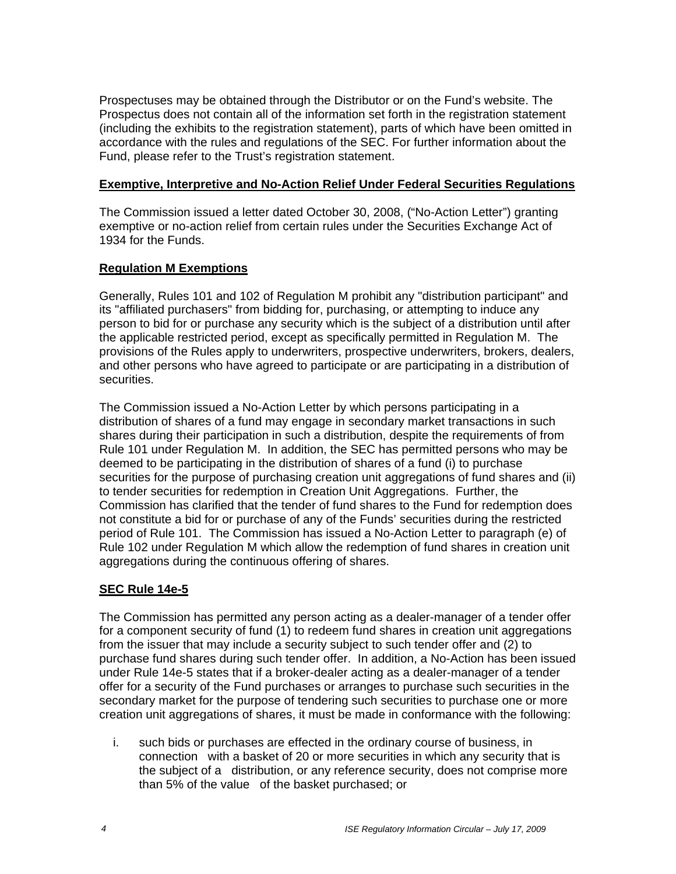Prospectuses may be obtained through the Distributor or on the Fund's website. The Prospectus does not contain all of the information set forth in the registration statement (including the exhibits to the registration statement), parts of which have been omitted in accordance with the rules and regulations of the SEC. For further information about the Fund, please refer to the Trust's registration statement.

### **Exemptive, Interpretive and No-Action Relief Under Federal Securities Regulations**

The Commission issued a letter dated October 30, 2008, ("No-Action Letter") granting exemptive or no-action relief from certain rules under the Securities Exchange Act of 1934 for the Funds.

# **Regulation M Exemptions**

Generally, Rules 101 and 102 of Regulation M prohibit any "distribution participant" and its "affiliated purchasers" from bidding for, purchasing, or attempting to induce any person to bid for or purchase any security which is the subject of a distribution until after the applicable restricted period, except as specifically permitted in Regulation M. The provisions of the Rules apply to underwriters, prospective underwriters, brokers, dealers, and other persons who have agreed to participate or are participating in a distribution of securities.

The Commission issued a No-Action Letter by which persons participating in a distribution of shares of a fund may engage in secondary market transactions in such shares during their participation in such a distribution, despite the requirements of from Rule 101 under Regulation M. In addition, the SEC has permitted persons who may be deemed to be participating in the distribution of shares of a fund (i) to purchase securities for the purpose of purchasing creation unit aggregations of fund shares and (ii) to tender securities for redemption in Creation Unit Aggregations. Further, the Commission has clarified that the tender of fund shares to the Fund for redemption does not constitute a bid for or purchase of any of the Funds' securities during the restricted period of Rule 101. The Commission has issued a No-Action Letter to paragraph (e) of Rule 102 under Regulation M which allow the redemption of fund shares in creation unit aggregations during the continuous offering of shares.

### **SEC Rule 14e-5**

The Commission has permitted any person acting as a dealer-manager of a tender offer for a component security of fund (1) to redeem fund shares in creation unit aggregations from the issuer that may include a security subject to such tender offer and (2) to purchase fund shares during such tender offer. In addition, a No-Action has been issued under Rule 14e-5 states that if a broker-dealer acting as a dealer-manager of a tender offer for a security of the Fund purchases or arranges to purchase such securities in the secondary market for the purpose of tendering such securities to purchase one or more creation unit aggregations of shares, it must be made in conformance with the following:

i. such bids or purchases are effected in the ordinary course of business, in connection with a basket of 20 or more securities in which any security that is the subject of a distribution, or any reference security, does not comprise more than 5% of the value of the basket purchased; or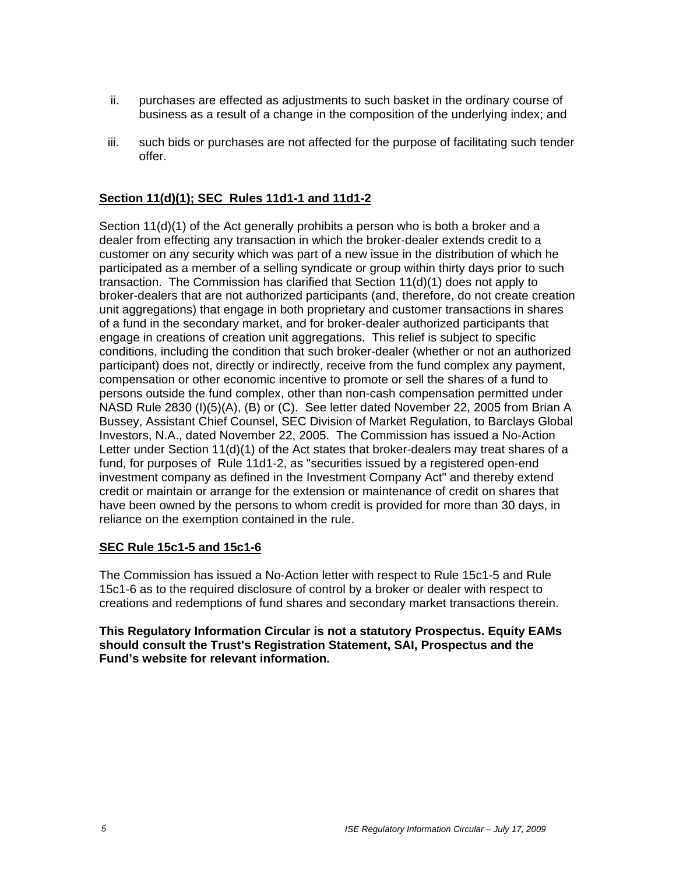- ii. purchases are effected as adjustments to such basket in the ordinary course of business as a result of a change in the composition of the underlying index; and
- iii. such bids or purchases are not affected for the purpose of facilitating such tender offer.

# **Section 11(d)(1); SEC Rules 11d1-1 and 11d1-2**

Section 11(d)(1) of the Act generally prohibits a person who is both a broker and a dealer from effecting any transaction in which the broker-dealer extends credit to a customer on any security which was part of a new issue in the distribution of which he participated as a member of a selling syndicate or group within thirty days prior to such transaction. The Commission has clarified that Section 11(d)(1) does not apply to broker-dealers that are not authorized participants (and, therefore, do not create creation unit aggregations) that engage in both proprietary and customer transactions in shares of a fund in the secondary market, and for broker-dealer authorized participants that engage in creations of creation unit aggregations. This relief is subject to specific conditions, including the condition that such broker-dealer (whether or not an authorized participant) does not, directly or indirectly, receive from the fund complex any payment, compensation or other economic incentive to promote or sell the shares of a fund to persons outside the fund complex, other than non-cash compensation permitted under NASD Rule 2830 (I)(5)(A), (B) or (C). See letter dated November 22, 2005 from Brian A Bussey, Assistant Chief Counsel, SEC Division of Market Regulation, to Barclays Global Investors, N.A., dated November 22, 2005. The Commission has issued a No-Action Letter under Section 11(d)(1) of the Act states that broker-dealers may treat shares of a fund, for purposes of Rule 11d1-2, as "securities issued by a registered open-end investment company as defined in the Investment Company Act" and thereby extend credit or maintain or arrange for the extension or maintenance of credit on shares that have been owned by the persons to whom credit is provided for more than 30 days, in reliance on the exemption contained in the rule.

### **SEC Rule 15c1-5 and 15c1-6**

The Commission has issued a No-Action letter with respect to Rule 15c1-5 and Rule 15c1-6 as to the required disclosure of control by a broker or dealer with respect to creations and redemptions of fund shares and secondary market transactions therein.

**This Regulatory Information Circular is not a statutory Prospectus. Equity EAMs should consult the Trust's Registration Statement, SAI, Prospectus and the Fund's website for relevant information.**